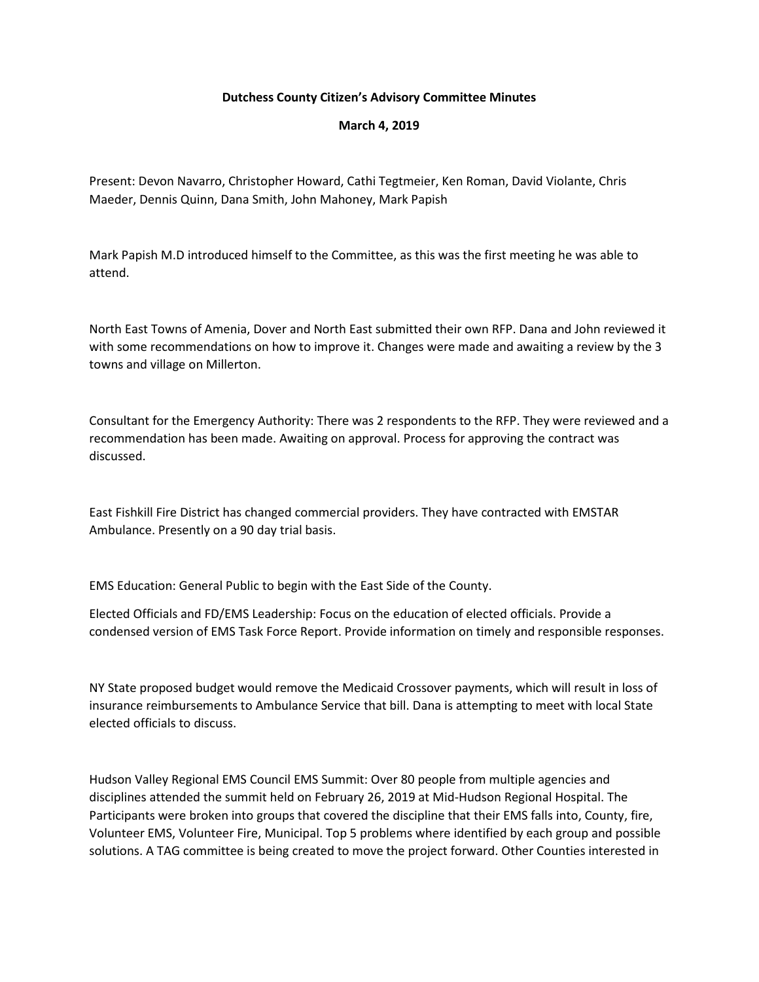## **Dutchess County Citizen's Advisory Committee Minutes**

**March 4, 2019**

Present: Devon Navarro, Christopher Howard, Cathi Tegtmeier, Ken Roman, David Violante, Chris Maeder, Dennis Quinn, Dana Smith, John Mahoney, Mark Papish

Mark Papish M.D introduced himself to the Committee, as this was the first meeting he was able to attend.

North East Towns of Amenia, Dover and North East submitted their own RFP. Dana and John reviewed it with some recommendations on how to improve it. Changes were made and awaiting a review by the 3 towns and village on Millerton.

Consultant for the Emergency Authority: There was 2 respondents to the RFP. They were reviewed and a recommendation has been made. Awaiting on approval. Process for approving the contract was discussed.

East Fishkill Fire District has changed commercial providers. They have contracted with EMSTAR Ambulance. Presently on a 90 day trial basis.

EMS Education: General Public to begin with the East Side of the County.

Elected Officials and FD/EMS Leadership: Focus on the education of elected officials. Provide a condensed version of EMS Task Force Report. Provide information on timely and responsible responses.

NY State proposed budget would remove the Medicaid Crossover payments, which will result in loss of insurance reimbursements to Ambulance Service that bill. Dana is attempting to meet with local State elected officials to discuss.

Hudson Valley Regional EMS Council EMS Summit: Over 80 people from multiple agencies and disciplines attended the summit held on February 26, 2019 at Mid-Hudson Regional Hospital. The Participants were broken into groups that covered the discipline that their EMS falls into, County, fire, Volunteer EMS, Volunteer Fire, Municipal. Top 5 problems where identified by each group and possible solutions. A TAG committee is being created to move the project forward. Other Counties interested in